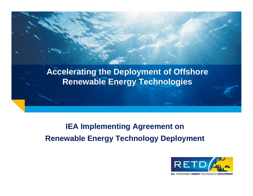# **Accelerating the Deployment of Offshore Renewable Energy Technologies**

# **IEA Implementing Agreement on Renewable Energy Technology Deployment**

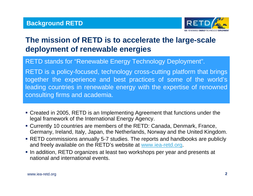

# **The mission of RETD is to accelerate the large-scale deployment of renewable energies**

RETD stands for "Renewable Energy Technology Deployment".

RETD is a policy-focused, technology cross-cutting platform that brings together the experience and best practices of some of the world's leading countries in renewable energy with the expertise of renowned consulting firms and academia.

- Created in 2005, RETD is an Implementing Agreement that functions under the legal framework of the International Energy Agency.
- Currently 10 countries are members of the RETD: Canada, Denmark, France, Germany, Ireland, Italy, Japan, the Netherlands, Norway and the United Kingdom.
- RETD commissions annually 5-7 studies. The reports and handbooks are publicly and freely available on the RETD's website at [www.iea-retd.org](http://www.iea-retd.org/).
- In addition, RETD organizes at least two workshops per year and presents at national and international events.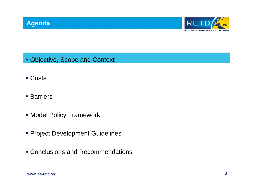

- Objective, Scope and Context
- Costs
- **Barriers**
- Model Policy Framework
- **Project Development Guidelines**
- Conclusions and Recommendations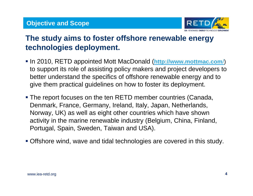

# **The study aims to foster offshore renewable energy technologies deployment.**

- In 2010, RETD appointed Mott MacDonald (**[http://www.mottmac.com](http://www.mottmac.com/)**/) to support its role of assisting policy makers and project developers to better understand the specifics of offshore renewable energy and to give them practical guidelines on how to foster its deployment.
- The report focuses on the ten RETD member countries (Canada, Denmark, France, Germany, Ireland, Italy, Japan, Netherlands, Norway, UK) as well as eight other countries which have shown activity in the marine renewable industry (Belgium, China, Finland, Portugal, Spain, Sweden, Taiwan and USA).
- Offshore wind, wave and tidal technologies are covered in this study.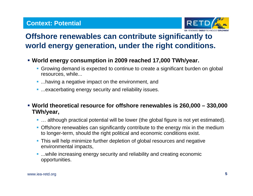

# **Offshore renewables can contribute significantly to world energy generation, under the right conditions.**

- **World energy consumption in 2009 reached 17,000 TWh/year.**
	- Growing demand is expected to continue to create a significant burden on global resources, while...
	- **....having a negative impact on the environment, and**
	- **....exacerbating energy security and reliability issues.**

 **World theoretical resource for offshore renewables is 260,000 – 330,000 TWh/year,** 

- **...** although practical potential will be lower (the global figure is not yet estimated).
- **Offshore renewables can significantly contribute to the energy mix in the medium** to longer-term, should the right political and economic conditions exist.
- This will help minimize further depletion of global resources and negative environmental impacts,
- **...while increasing energy security and reliability and creating economic** opportunities.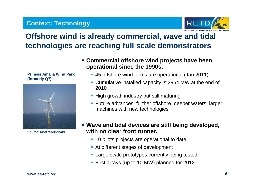### **Context: Technology**



# **Offshore wind is already commercial, wave and tidal technologies are reaching full scale demonstrators**

**Prinses Amalia Wind Park (formerly Q7)**



**Source: Mott MacDonald**

- **Commercial offshore wind projects have been operational since the 1990s.**
	- 45 offshore wind farms are operational (Jan 2011)
	- Cumulative installed capacity is 2964 MW at the end of 2010
	- **High growth industry but still maturing**
	- **Future advances: further offshore, deeper waters, larger** machines with new technologies
- **Wave and tidal devices are still being developed, with no clear front runner.**
	- **10 pilots projects are operational to date**
	- At different stages of development
	- **Large scale prototypes currently being tested**
	- First arrays (up to 10 MW) planned for 2012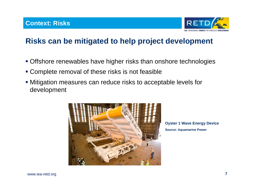

## **Risks can be mitigated to help project development**

- Offshore renewables have higher risks than onshore technologies
- Complete removal of these risks is not feasible
- Mitigation measures can reduce risks to acceptable levels for development



**Oyster 1 Wave Energy Device Source: Aquamarine Power**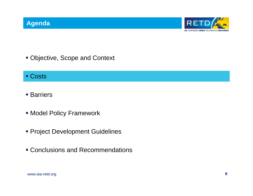

Objective, Scope and Context

### ■ Costs

- Barriers
- Model Policy Framework
- **Project Development Guidelines**
- Conclusions and Recommendations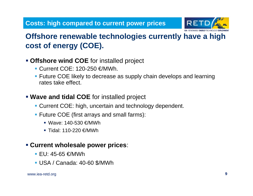

# **Offshore renewable technologies currently have a high cost of energy (COE).**

### **Offshore wind COE** for installed project

- Current COE: 120-250 €/MWh.
- **Future COE likely to decrease as supply chain develops and learning** rates take effect.

### **Wave and tidal COE** for installed project

- **Current COE: high, uncertain and technology dependent.**
- Future COE (first arrays and small farms):
	- Wave: 140-530 €/MWh
	- Tidal: 110-220 €/MWh

### **Current wholesale power prices**:

- EU: 45-65 €/MWh
- USA / Canada: 40-60 \$/MWh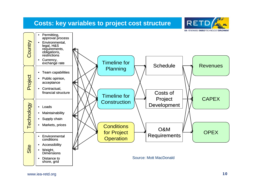### **Costs: key variables to project cost structure**



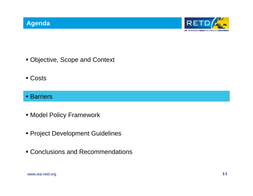

- Objective, Scope and Context
- Costs
- **Barriers**
- Model Policy Framework
- **Project Development Guidelines**
- Conclusions and Recommendations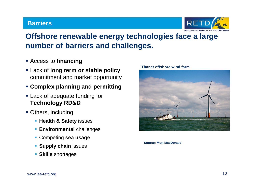#### **Barriers**



# **Offshore renewable energy technologies face a large number of barriers and challenges.**

- Access to **financing**
- Lack of **long term or stable policy** commitment and market opportunity
- **Complex planning and permitting**
- **Example 2** Lack of adequate funding for **Technology RD&D**
- **Others, including** 
	- **Health & Safety issues**
	- **Environmental** challenges
	- Competing **sea usage**
	- **Supply chain** issues
	- **Skills** shortages



**Thanet offshore wind farm**

**Source: Mott MacDonald**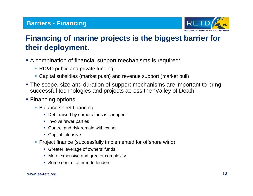### **Barriers - Financing**



# **Financing of marine projects is the biggest barrier for their deployment.**

- A combination of financial support mechanisms is required:
	- **RD&D public and private funding,**
	- Capital subsidies (market push) and revenue support (market pull)
- The scope, size and duration of support mechanisms are important to bring successful technologies and projects across the "Valley of Death"
- **Financing options:** 
	- **Balance sheet financing** 
		- Debt raised by corporations is cheaper
		- **Involve fewer parties**
		- Control and risk remain with owner
		- Capital intensive
	- Project finance (successfully implemented for offshore wind)
		- **Greater leverage of owners' funds**
		- **More expensive and greater complexity**
		- **Some control offered to lenders**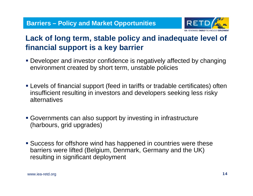

# **Lack of long term, stable policy and inadequate level of financial support is a key barrier**

- Developer and investor confidence is negatively affected by changing environment created by short term, unstable policies
- Levels of financial support (feed in tariffs or tradable certificates) often insufficient resulting in investors and developers seeking less risky alternatives
- Governments can also support by investing in infrastructure (harbours, grid upgrades)
- Success for offshore wind has happened in countries were these barriers were lifted (Belgium, Denmark, Germany and the UK) resulting in significant deployment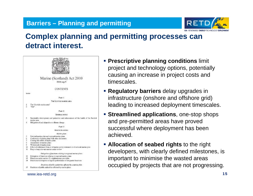### **Barriers – Planning and permitting**



### **Complex planning and permitting processes can detract interest.**



- **Prescriptive planning conditions** limit project and technology options, potentially causing an increase in project costs and timescales.
- **Regulatory barriers** delay upgrades in infrastructure (onshore and offshore grid) leading to increased deployment timescales.
- **Streamlined applications**, one-stop shops and pre-permitted areas have proved successful where deployment has been achieved.
- **Allocation of seabed rights** to the right developers, with clearly defined milestones, is important to minimise the wasted areas occupied by projects that are not progressing.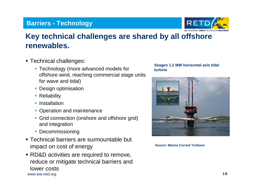### **Barriers - Technology**



## **Key technical challenges are shared by all offshore renewables.**

- **Technical challenges:** 
	- Technology (more advanced models for offshore wind, reaching commercial stage units for wave and tidal)
	- **Design optimisation**
	- **Reliability**
	- **Installation**
	- **Operation and maintenance**
	- **Grid connection (onshore and offshore grid)** and integration
	- **Decommissioning**
- Technical barriers are surmountable but impact on cost of energy
- www.iea-retd.org **16**  RD&D activities are required to remove, reduce or mitigate technical barriers and lower costs





**Source: Marine Current Turbines**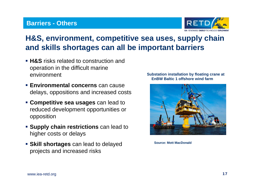### **Barriers - Others**



# **H&S, environment, competitive sea uses, supply chain and skills shortages can all be important barriers**

- **H&S** risks related to construction and operation in the difficult marine environment
- **Environmental concerns** can cause delays, oppositions and increased costs
- **Competitive sea usages** can lead to reduced development opportunities or opposition
- **Supply chain restrictions** can lead to higher costs or delays
- **Skill shortages** can lead to delayed projects and increased risks

#### **Substation installation by floating crane at EnBW Baltic 1 offshore wind farm**



**Source: Mott MacDonald**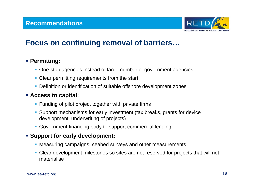

### **Focus on continuing removal of barriers…**

### **Permitting:**

- One-stop agencies instead of large number of government agencies
- **Clear permitting requirements from the start**
- **Definition or identification of suitable offshore development zones**

### **Access to capital:**

- **Funding of pilot project together with private firms**
- Support mechanisms for early investment (tax breaks, grants for device development, underwriting of projects)
- Government financing body to support commercial lending

### **Support for early development:**

- Measuring campaigns, seabed surveys and other measurements
- Clear development milestones so sites are not reserved for projects that will not materialise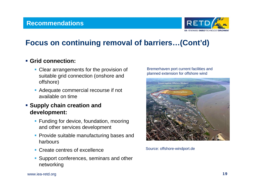

## **Focus on continuing removal of barriers…(Cont'd)**

### **Grid connection:**

- **Clear arrangements for the provision of** suitable grid connection (onshore and offshore)
- Adequate commercial recourse if not available on time

### **Supply chain creation and development:**

- **Funding for device, foundation, mooring** and other services development
- **Provide suitable manufacturing bases and** harbours
- **Create centres of excellence**
- **Support conferences, seminars and other** networking

#### Bremerhaven port current facilities and planned extension for offshore wind



Source: offshore-windport.de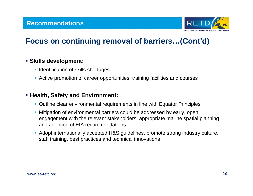

## **Focus on continuing removal of barriers…(Cont'd)**

#### **Skills development:**

- **I** Identification of skills shortages
- Active promotion of career opportunities, training facilities and courses

#### **Health, Safety and Environment:**

- Outline clear environmental requirements in line with Equator Principles
- Mitigation of environmental barriers could be addressed by early, open engagement with the relevant stakeholders, appropriate marine spatial planning and adoption of EIA recommendations
- Adopt internationally accepted H&S guidelines, promote strong industry culture, staff training, best practices and technical innovations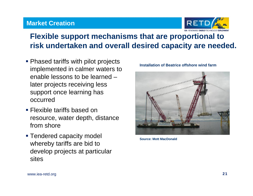### **Market Creation**



# **Flexible support mechanisms that are proportional to risk undertaken and overall desired capacity are needed.**

- **Phased tariffs with pilot projects** implemented in calmer waters to enable lessons to be learned –later projects receiving less support once learning has occurred
- **Flexible tariffs based on** resource, water depth, distance from shore
- **Tendered capacity model** whereby tariffs are bid to develop projects at particular sites



**Installation of Beatrice offshore wind farm**

**Source: Mott MacDonald**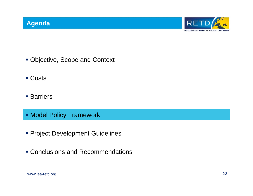

- Objective, Scope and Context
- Costs
- **Barriers**
- Model Policy Framework
- **Project Development Guidelines**
- Conclusions and Recommendations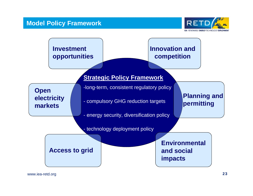

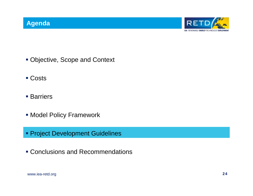

- Objective, Scope and Context
- Costs
- **Barriers**
- Model Policy Framework
- Project Development Guidelines
- Conclusions and Recommendations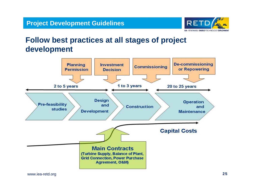

### **Follow best practices at all stages of project development**

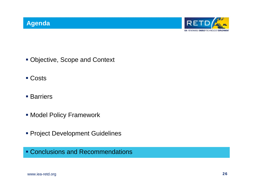

- Objective, Scope and Context
- Costs
- **Barriers**
- Model Policy Framework
- **Project Development Guidelines**

Conclusions and Recommendations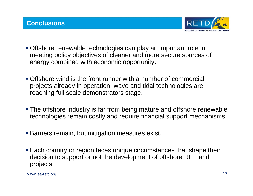

- Offshore renewable technologies can play an important role in meeting policy objectives of cleaner and more secure sources of energy combined with economic opportunity.
- Offshore wind is the front runner with a number of commercial projects already in operation; wave and tidal technologies are reaching full scale demonstrators stage.
- The offshore industry is far from being mature and offshore renewable technologies remain costly and require financial support mechanisms.
- **Barriers remain, but mitigation measures exist.**
- Each country or region faces unique circumstances that shape their decision to support or not the development of offshore RET and projects.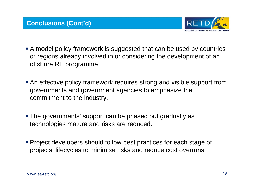

- A model policy framework is suggested that can be used by countries or regions already involved in or considering the development of an offshore RE programme.
- An effective policy framework requires strong and visible support from governments and government agencies to emphasize the commitment to the industry.
- The governments' support can be phased out gradually as technologies mature and risks are reduced.
- Project developers should follow best practices for each stage of projects' lifecycles to minimise risks and reduce cost overruns.